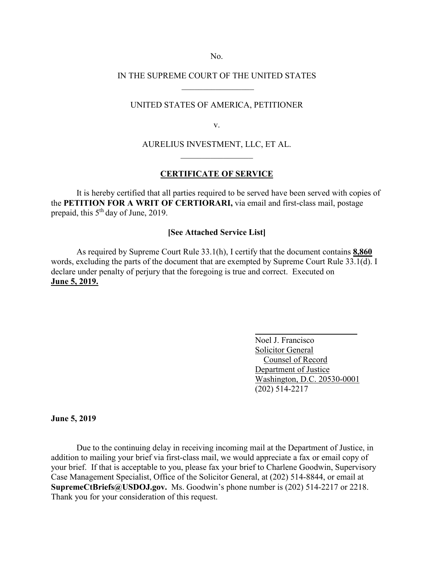No.

# IN THE SUPREME COURT OF THE UNITED STATES  $\frac{1}{2}$  ,  $\frac{1}{2}$  ,  $\frac{1}{2}$  ,  $\frac{1}{2}$  ,  $\frac{1}{2}$  ,  $\frac{1}{2}$  ,  $\frac{1}{2}$  ,  $\frac{1}{2}$  ,  $\frac{1}{2}$

### UNITED STATES OF AMERICA, PETITIONER

v.

# AURELIUS INVESTMENT, LLC, ET AL.  $\frac{1}{2}$  ,  $\frac{1}{2}$  ,  $\frac{1}{2}$  ,  $\frac{1}{2}$  ,  $\frac{1}{2}$  ,  $\frac{1}{2}$  ,  $\frac{1}{2}$

## **CERTIFICATE OF SERVICE**

It is hereby certified that all parties required to be served have been served with copies of the **PETITION FOR A WRIT OF CERTIORARI,** via email and first-class mail, postage prepaid, this 5<sup>th</sup> day of June, 2019.

### **[See Attached Service List]**

 As required by Supreme Court Rule 33.1(h), I certify that the document contains **8,860**  words, excluding the parts of the document that are exempted by Supreme Court Rule 33.1(d). I declare under penalty of perjury that the foregoing is true and correct. Executed on **June 5, 2019.**

> Noel J. Francisco Solicitor General Counsel of Record Department of Justice Washington, D.C. 20530-0001 (202) 514-2217

**June 5, 2019**

Due to the continuing delay in receiving incoming mail at the Department of Justice, in addition to mailing your brief via first-class mail, we would appreciate a fax or email copy of your brief. If that is acceptable to you, please fax your brief to Charlene Goodwin, Supervisory Case Management Specialist, Office of the Solicitor General, at (202) 514-8844, or email at **SupremeCtBriefs@USDOJ.gov.** Ms. Goodwin's phone number is (202) 514-2217 or 2218. Thank you for your consideration of this request.